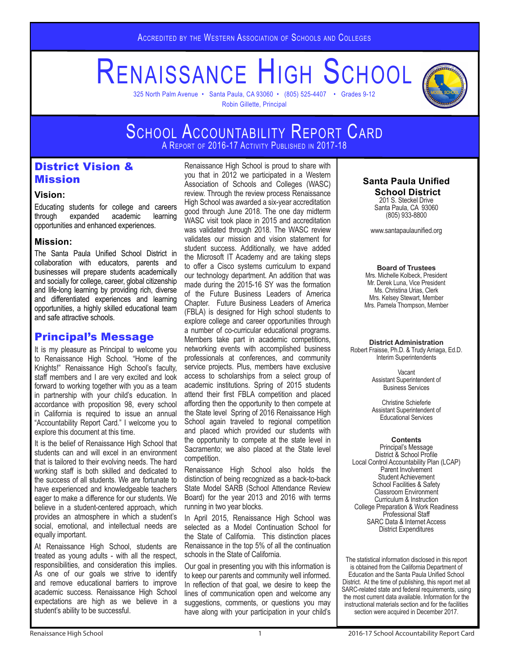# RENAISSANCE HIGH SCHOOL

325 North Palm Avenue • Santa Paula, CA 93060 • (805) 525-4407 • Grades 9-12 Robin Gillette, Principal



#### SCHOOL ACCOUNTABILITY REPORT CARD SCHOOL ACCOUNTABILITY REPORT CARD A Report of 2016-17 Activity Published in 2017-18

# District Vision & **Mission**

#### **Vision:**

Educating students for college and careers through expanded academic learning opportunities and enhanced experiences.

#### **Mission:**

The Santa Paula Unified School District in collaboration with educators, parents and businesses will prepare students academically and socially for college, career, global citizenship and life-long learning by providing rich, diverse and differentiated experiences and learning opportunities, a highly skilled educational team and safe attractive schools.

# Principal's Message

It is my pleasure as Principal to welcome you to Renaissance High School. "Home of the Knights!" Renaissance High School's faculty, staff members and I are very excited and look forward to working together with you as a team in partnership with your child's education. In accordance with proposition 98, every school in California is required to issue an annual "Accountability Report Card." I welcome you to explore this document at this time.

It is the belief of Renaissance High School that students can and will excel in an environment that is tailored to their evolving needs. The hard working staff is both skilled and dedicated to the success of all students. We are fortunate to have experienced and knowledgeable teachers eager to make a difference for our students. We believe in a student-centered approach, which provides an atmosphere in which a student's social, emotional, and intellectual needs are equally important.

At Renaissance High School, students are treated as young adults - with all the respect, responsibilities, and consideration this implies. As one of our goals we strive to identify and remove educational barriers to improve academic success. Renaissance High School expectations are high as we believe in a student's ability to be successful.

Renaissance High School is proud to share with you that in 2012 we participated in a Western Association of Schools and Colleges (WASC) review. Through the review process Renaissance High School was awarded a six-year accreditation good through June 2018. The one day midterm WASC visit took place in 2015 and accreditation was validated through 2018. The WASC review validates our mission and vision statement for student success. Additionally, we have added the Microsoft IT Academy and are taking steps to offer a Cisco systems curriculum to expand our technology department. An addition that was made during the 2015-16 SY was the formation of the Future Business Leaders of America Chapter. Future Business Leaders of America (FBLA) is designed for High school students to explore college and career opportunities through a number of co-curricular educational programs. Members take part in academic competitions, networking events with accomplished business professionals at conferences, and community service projects. Plus, members have exclusive access to scholarships from a select group of academic institutions. Spring of 2015 students attend their first FBLA competition and placed affording then the opportunity to then compete at the State level Spring of 2016 Renaissance High School again traveled to regional competition and placed which provided our students with the opportunity to compete at the state level in Sacramento; we also placed at the State level competition.

Renaissance High School also holds the distinction of being recognized as a back-to-back State Model SARB (School Attendance Review Board) for the year 2013 and 2016 with terms running in two year blocks.

In April 2015, Renaissance High School was selected as a Model Continuation School for the State of California. This distinction places Renaissance in the top 5% of all the continuation schools in the State of California.

Our goal in presenting you with this information is to keep our parents and community well informed. In reflection of that goal, we desire to keep the lines of communication open and welcome any suggestions, comments, or questions you may have along with your participation in your child's

# **Santa Paula Unified**

 **School District** 201 S. Steckel Drive Santa Paula, CA 93060 (805) 933-8800

www.santapaulaunified.org

#### **Board of Trustees**

Mrs. Michelle Kolbeck, President Mr. Derek Luna, Vice President Ms. Christina Urias, Clerk Mrs. Kelsey Stewart, Member Mrs. Pamela Thompson, Member

## **District Administration**

Robert Fraisse, Ph.D. & Trudy Arriaga, Ed.D. Interim Superintendents

> Vacant Assistant Superintendent of Business Services

> Christine Schieferle Assistant Superintendent of Educational Services

#### **Contents**

Principal's Message District & School Profile Local Control Accountability Plan (LCAP) Parent Involvement Student Achievement School Facilities & Safety Classroom Environment Curriculum & Instruction College Preparation & Work Readiness Professional Staff SARC Data & Internet Access District Expenditures

The statistical information disclosed in this report is obtained from the California Department of Education and the Santa Paula Unified School District. At the time of publishing, this report met all SARC-related state and federal requirements, using the most current data available. Information for the instructional materials section and for the facilities section were acquired in December 2017.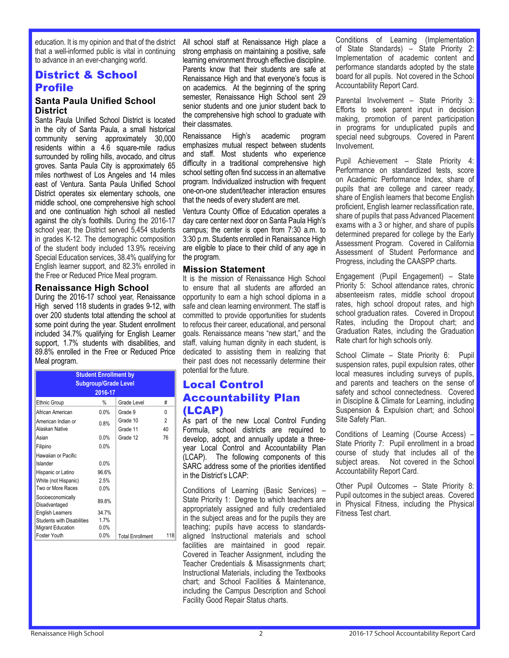education. It is my opinion and that of the district that a well-informed public is vital in continuing to advance in an ever-changing world.

# District & School Profile

#### **Santa Paula Unified School District**

Santa Paula Unified School District is located in the city of Santa Paula, a small historical community serving approximately 30,000 residents within a 4.6 square-mile radius surrounded by rolling hills, avocado, and citrus groves. Santa Paula City is approximately 65 miles northwest of Los Angeles and 14 miles east of Ventura. Santa Paula Unified School District operates six elementary schools, one middle school, one comprehensive high school and one continuation high school all nestled against the city's foothills. During the 2016-17 school year, the District served 5,454 students in grades K-12. The demographic composition of the student body included 13.9% receiving Special Education services, 38.4% qualifying for English learner support, and 82.3% enrolled in the Free or Reduced Price Meal program.

#### **Renaissance High School**

During the 2016-17 school year, Renaissance High served 118 students in grades 9-12, with over 200 students total attending the school at some point during the year. Student enrollment included 34.7% qualifying for English Learner support, 1.7% students with disabilities, and 89.8% enrolled in the Free or Reduced Price Meal program.

|                                           | <b>Student Enrollment by</b><br><b>Subgroup/Grade Level</b><br>2016-17 |                         |         |
|-------------------------------------------|------------------------------------------------------------------------|-------------------------|---------|
| <b>Ethnic Group</b>                       | %                                                                      | Grade Level             | #       |
| African American                          | $0.0\%$                                                                | Grade 9                 | 0       |
| American Indian or<br>Alaskan Native      | 0.8%                                                                   | Grade 10<br>Grade 11    | 2<br>40 |
| Asian                                     | $0.0\%$                                                                | Grade 12                | 76      |
| Filipino                                  | 0.0%                                                                   |                         |         |
| Hawaiian or Pacific<br>Islander           | $0.0\%$                                                                |                         |         |
| Hispanic or Latino                        | 96.6%                                                                  |                         |         |
| White (not Hispanic)<br>Two or More Races | 2.5%<br>$0.0\%$                                                        |                         |         |
| Socioeconomically<br>Disadvantaged        | 89.8%                                                                  |                         |         |
| <b>English Learners</b>                   | 34.7%                                                                  |                         |         |
| <b>Students with Disabilities</b>         | 1.7%                                                                   |                         |         |
| <b>Migrant Education</b>                  | 0.0%                                                                   |                         |         |
| Foster Youth                              | $0.0\%$                                                                | <b>Total Enrollment</b> | 118     |

All school staff at Renaissance High place a strong emphasis on maintaining a positive, safe learning environment through effective discipline. Parents know that their students are safe at Renaissance High and that everyone's focus is on academics. At the beginning of the spring semester, Renaissance High School sent 29 senior students and one junior student back to the comprehensive high school to graduate with their classmates.

Renaissance High's academic program emphasizes mutual respect between students and staff. Most students who experience difficulty in a traditional comprehensive high school setting often find success in an alternative program. Individualized instruction with frequent one-on-one student/teacher interaction ensures that the needs of every student are met.

Ventura County Office of Education operates a day care center next door on Santa Paula High's campus; the center is open from 7:30 a.m. to 3:30 p.m. Students enrolled in Renaissance High are eligible to place to their child of any age in the program.

#### **Mission Statement**

It is the mission of Renaissance High School to ensure that all students are afforded an opportunity to earn a high school diploma in a safe and clean learning environment. The staff is committed to provide opportunities for students to refocus their career, educational, and personal goals. Renaissance means "new start," and the staff, valuing human dignity in each student, is dedicated to assisting them in realizing that their past does not necessarily determine their potential for the future.

# Local Control Accountability Plan (LCAP)

As part of the new Local Control Funding Formula, school districts are required to develop, adopt, and annually update a threeyear Local Control and Accountability Plan (LCAP). The following components of this SARC address some of the priorities identified in the District's LCAP:

Conditions of Learning (Basic Services) – State Priority 1: Degree to which teachers are appropriately assigned and fully credentialed in the subject areas and for the pupils they are teaching; pupils have access to standardsaligned Instructional materials and school facilities are maintained in good repair. Covered in Teacher Assignment, including the Teacher Credentials & Misassignments chart; Instructional Materials, including the Textbooks chart; and School Facilities & Maintenance, including the Campus Description and School Facility Good Repair Status charts.

Conditions of Learning (Implementation of State Standards) – State Priority 2: Implementation of academic content and performance standards adopted by the state board for all pupils. Not covered in the School Accountability Report Card.

Parental Involvement – State Priority 3: Efforts to seek parent input in decision making, promotion of parent participation in programs for unduplicated pupils and special need subgroups. Covered in Parent Involvement.

Pupil Achievement – State Priority 4: Performance on standardized tests, score on Academic Performance Index, share of pupils that are college and career ready, share of English learners that become English proficient, English learner reclassification rate, share of pupils that pass Advanced Placement exams with a 3 or higher, and share of pupils determined prepared for college by the Early Assessment Program. Covered in California Assessment of Student Performance and Progress, including the CAASPP charts.

Engagement (Pupil Engagement) – State Priority 5: School attendance rates, chronic absenteeism rates, middle school dropout rates, high school dropout rates, and high school graduation rates. Covered in Dropout Rates, including the Dropout chart; and Graduation Rates, including the Graduation Rate chart for high schools only.

School Climate – State Priority 6: Pupil suspension rates, pupil expulsion rates, other local measures including surveys of pupils, and parents and teachers on the sense of safety and school connectedness. Covered in Discipline & Climate for Learning, including Suspension & Expulsion chart; and School Site Safety Plan.

Conditions of Learning (Course Access) – State Priority 7: Pupil enrollment in a broad course of study that includes all of the subject areas. Not covered in the School Accountability Report Card.

Other Pupil Outcomes – State Priority 8: Pupil outcomes in the subject areas. Covered in Physical Fitness, including the Physical Fitness Test chart.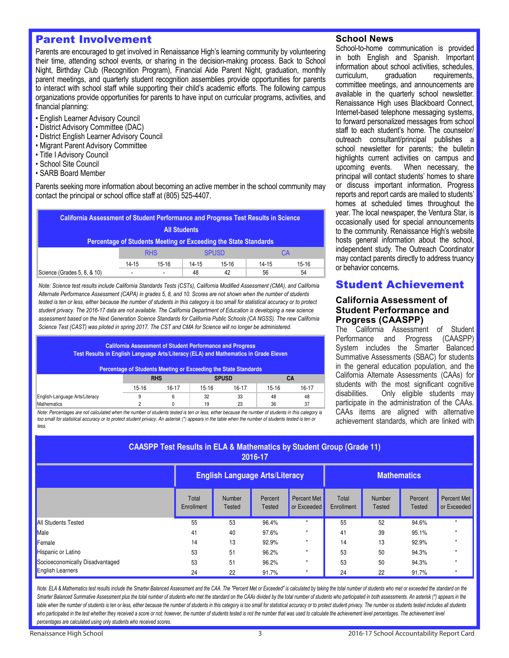# Parent Involvement

Parents are encouraged to get involved in Renaissance High's learning community by volunteering their time, attending school events, or sharing in the decision-making process. Back to School Night, Birthday Club (Recognition Program), Financial Aide Parent Night, graduation, monthly parent meetings, and quarterly student recognition assemblies provide opportunities for parents to interact with school staff while supporting their child's academic efforts. The following campus organizations provide opportunities for parents to have input on curricular programs, activities, and financial planning:

- English Learner Advisory Council
- District Advisory Committee (DAC)
- District English Learner Advisory Council
- Migrant Parent Advisory Committee
- Title I Advisory Council
- School Site Council
- SARB Board Member

Parents seeking more information about becoming an active member in the school community may contact the principal or school office staff at (805) 525-4407.

| California Assessment of Student Performance and Progress Test Results in Science |           |                          |           |              |           |         |
|-----------------------------------------------------------------------------------|-----------|--------------------------|-----------|--------------|-----------|---------|
| <b>All Students</b>                                                               |           |                          |           |              |           |         |
| Percentage of Students Meeting or Exceeding the State Standards                   |           |                          |           |              |           |         |
|                                                                                   |           | <b>RHS</b>               |           | <b>SPUSD</b> |           | СA      |
|                                                                                   | $14 - 15$ | $15-16$                  | $14 - 15$ | $15-16$      | $14 - 15$ | $15-16$ |
| Science (Grades 5, 8, & 10)                                                       |           | $\overline{\phantom{0}}$ | 48        | 42           | 56        | 54      |

Note: Science test results include California Standards Tests (CSTs), California Modified Assessment (CMA), and California Alternate Performance Assessment (CAPA) in grades 5, 8, and 10. Scores are not shown when the number of students tested is ten or less, either because the number of students in this category is too small for statistical accuracy or to protect student privacy. The 2016-17 data are not available. The California Department of Education is developing a new science assessment based on the Next Generation Science Standards for California Public Schools (CA NGSS). The new California Science Test (CAST) was piloted in spring 2017. The CST and CMA for Science will no longer be administered.

#### **California Assessment of Student Performance and Progress Test Results in English Language Arts/Literacy (ELA) and Mathematics in Grade Eleven**

#### **Percentage of Students Meeting or Exceeding the State Standards**

|                                |           |            | .     |              |       |       |
|--------------------------------|-----------|------------|-------|--------------|-------|-------|
|                                |           | <b>RHS</b> |       | <b>SPUSD</b> |       | UА    |
|                                | $15 - 16$ | 16-17      | 15-16 | $16 - 17$    | 15-16 | 16-17 |
| English-Language Arts/Literacy |           |            | 32    | 33           | 48    | 48    |
| Mathematics                    |           |            | 19    | 23           | 36    | 37    |

Note: Percentages are not calculated when the number of students tested is ten or less, either because the number of students in this category is too small for statistical accuracy or to protect student privacy. An asterisk (\*) appears in the table when the number of students tested is ten or less.

#### **School News**

School-to-home communication is provided in both English and Spanish. Important information about school activities, schedules,<br>curriculum, graduation requirements. curriculum, graduation requirements, committee meetings, and announcements are available in the quarterly school newsletter. Renaissance High uses Blackboard Connect, Internet-based telephone messaging systems, to forward personalized messages from school staff to each student's home. The counselor/ outreach consultant/principal publishes a school newsletter for parents; the bulletin highlights current activities on campus and upcoming events. When necessary, the principal will contact students' homes to share or discuss important information. Progress reports and report cards are mailed to students' homes at scheduled times throughout the year. The local newspaper, the Ventura Star, is occasionally used for special announcements to the community. Renaissance High's website hosts general information about the school, independent study. The Outreach Coordinator may contact parents directly to address truancy or behavior concerns.

# Student Achievement

#### **California Assessment of Student Performance and Progress (CAASPP)**

The California Assessment of Student Performance and Progress (CAASPP) System includes the Smarter Balanced Summative Assessments (SBAC) for students in the general education population, and the California Alternate Assessments (CAAs) for students with the most significant cognitive<br>disabilities. Only eligible students may Only eligible students may participate in the administration of the CAAs. CAAs items are aligned with alternative achievement standards, which are linked with

| <b>CAASPP Test Results in ELA &amp; Mathematics by Student Group (Grade 11)</b><br>2016-17 |                                                             |                         |                          |                            |                     |                                |                          |                            |
|--------------------------------------------------------------------------------------------|-------------------------------------------------------------|-------------------------|--------------------------|----------------------------|---------------------|--------------------------------|--------------------------|----------------------------|
|                                                                                            | <b>English Language Arts/Literacy</b><br><b>Mathematics</b> |                         |                          |                            |                     |                                |                          |                            |
|                                                                                            | Total<br>Enrollment                                         | <b>Number</b><br>Tested | Percent<br><b>Tested</b> | Percent Met<br>or Exceeded | Total<br>Enrollment | <b>Number</b><br><b>Tested</b> | Percent<br><b>Tested</b> | Percent Met<br>or Exceeded |
| <b>All Students Tested</b>                                                                 | 55                                                          | 53                      | 96.4%                    | $\star$                    | 55                  | 52                             | 94.6%                    |                            |
| <b>Male</b>                                                                                | 41                                                          | 40                      | 97.6%                    | $\star$                    | 41                  | 39                             | 95.1%                    |                            |
| Female                                                                                     | 14                                                          | 13                      | 92.9%                    | ٠                          | 14                  | 13                             | 92.9%                    |                            |
| Hispanic or Latino                                                                         | 53                                                          | 51                      | 96.2%                    |                            | 53                  | 50                             | 94.3%                    |                            |
| Socioeconomically Disadvantaged                                                            | 53                                                          | 51                      | 96.2%                    | $\star$                    | 53                  | 50                             | 94.3%                    |                            |
| <b>English Learners</b>                                                                    | 24                                                          | 22                      | 91.7%                    | $\star$                    | 24                  | 22                             | 91.7%                    |                            |

Note: ELA & Mathematics test results include the Smarter Balanced Assessment and the CAA. The "Percent Met or Exceeded" is calculated by taking the total number of students who met or exceeded the standard on the Smarter Balanced Summative Assessment plus the total number of students who met the standard on the CAAs divided by the total number of students who participated in both assessments. An asterisk (\*) appears in the table when the number of students is ten or less, either because the number of students in this category is too small for statistical accuracy or to protect student privacy. The number os students tested includes all stude who participated in the test whether they received a score or not; however, the number of students tested is not the number that was used to calculate the achievement level percentages. The achievement level percentages are calculated using only students who received scores.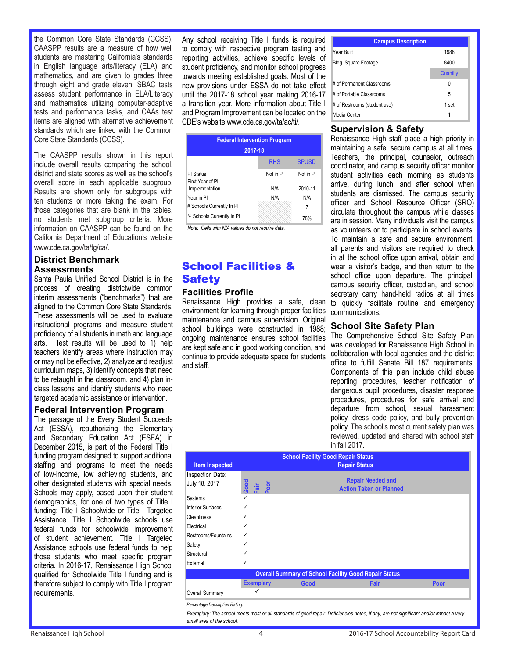the Common Core State Standards (CCSS). CAASPP results are a measure of how well students are mastering California's standards in English language arts/literacy (ELA) and mathematics, and are given to grades three through eight and grade eleven. SBAC tests assess student performance in ELA/Literacy and mathematics utilizing computer-adaptive tests and performance tasks, and CAAs test items are aligned with alternative achievement standards which are linked with the Common Core State Standards (CCSS).

The CAASPP results shown in this report include overall results comparing the school, district and state scores as well as the school's overall score in each applicable subgroup. Results are shown only for subgroups with ten students or more taking the exam. For those categories that are blank in the tables, no students met subgroup criteria. More information on CAASPP can be found on the California Department of Education's website www.cde.ca.gov/ta/tg/ca/.

## **District Benchmark Assessments**

Santa Paula Unified School District is in the process of creating districtwide common interim assessments ("benchmarks") that are aligned to the Common Core State Standards. These assessments will be used to evaluate instructional programs and measure student proficiency of all students in math and language arts. Test results will be used to 1) help teachers identify areas where instruction may or may not be effective, 2) analyze and readjust curriculum maps, 3) identify concepts that need to be retaught in the classroom, and 4) plan inclass lessons and identify students who need targeted academic assistance or intervention.

#### **Federal Intervention Program**

The passage of the Every Student Succeeds Act (ESSA), reauthorizing the Elementary and Secondary Education Act (ESEA) in December 2015, is part of the Federal Title I funding program designed to support additional staffing and programs to meet the needs of low-income, low achieving students, and other designated students with special needs. Schools may apply, based upon their student demographics, for one of two types of Title I funding: Title I Schoolwide or Title I Targeted Assistance. Title I Schoolwide schools use federal funds for schoolwide improvement of student achievement. Title I Targeted Assistance schools use federal funds to help those students who meet specific program criteria. In 2016-17, Renaissance High School qualified for Schoolwide Title I funding and is therefore subject to comply with Title I program requirements.

Any school receiving Title I funds is required to comply with respective program testing and reporting activities, achieve specific levels of student proficiency, and monitor school progress towards meeting established goals. Most of the new provisions under ESSA do not take effect until the 2017-18 school year making 2016-17 a transition year. More information about Title I and Program Improvement can be located on the CDE's website www.cde.ca.gov/ta/ac/ti/.

| <b>Federal Intervention Program</b><br>2017-18 |            |              |  |  |  |
|------------------------------------------------|------------|--------------|--|--|--|
|                                                | <b>RHS</b> | <b>SPUSD</b> |  |  |  |
| <b>PI Status</b><br>First Year of PI           | Not in PI  | Not in PI    |  |  |  |
| Implementation                                 | N/A        | 2010-11      |  |  |  |
| Year in PI                                     | N/A        | N/A          |  |  |  |
| # Schools Currently In PI                      |            | 7            |  |  |  |
| % Schools Currently In PI                      |            | 78%          |  |  |  |

Note: Cells with N/A values do not require data.

# School Facilities & **Safety Facilities Profile**

Renaissance High provides a safe, clean

environment for learning through proper facilities maintenance and campus supervision. Original school buildings were constructed in 1988; ongoing maintenance ensures school facilities are kept safe and in good working condition, and continue to provide adequate space for students and staff.

| <b>Campus Description</b>    |          |  |  |  |  |
|------------------------------|----------|--|--|--|--|
| Year Built                   | 1988     |  |  |  |  |
| Bldg. Square Footage         | 8400     |  |  |  |  |
|                              | Quantity |  |  |  |  |
| # of Permanent Classrooms    | 0        |  |  |  |  |
| # of Portable Classrooms     | 5        |  |  |  |  |
| # of Restrooms (student use) | 1 set    |  |  |  |  |
| Media Center                 | 1        |  |  |  |  |

# **Supervision & Safety**

Renaissance High staff place a high priority in maintaining a safe, secure campus at all times. Teachers, the principal, counselor, outreach coordinator, and campus security officer monitor student activities each morning as students arrive, during lunch, and after school when students are dismissed. The campus security officer and School Resource Officer (SRO) circulate throughout the campus while classes are in session. Many individuals visit the campus as volunteers or to participate in school events. To maintain a safe and secure environment, all parents and visitors are required to check in at the school office upon arrival, obtain and wear a visitor's badge, and then return to the school office upon departure. The principal, campus security officer, custodian, and school secretary carry hand-held radios at all times to quickly facilitate routine and emergency communications.

# **School Site Safety Plan**

The Comprehensive School Site Safety Plan was developed for Renaissance High School in collaboration with local agencies and the district office to fulfill Senate Bill 187 requirements. Components of this plan include child abuse reporting procedures, teacher notification of dangerous pupil procedures, disaster response procedures, procedures for safe arrival and departure from school, sexual harassment policy, dress code policy, and bully prevention policy. The school's most current safety plan was reviewed, updated and shared with school staff in fall 2017.

| <b>Item Inspected</b>             |                                                              | <b>School Facility Good Repair Status</b> | <b>Repair Status</b>                                       |      |  |
|-----------------------------------|--------------------------------------------------------------|-------------------------------------------|------------------------------------------------------------|------|--|
| Inspection Date:<br>July 18, 2017 | Good<br>·<br>-<br>「<br>」<br>「<br>】                           |                                           | <b>Repair Needed and</b><br><b>Action Taken or Planned</b> |      |  |
| Systems                           | ✓                                                            |                                           |                                                            |      |  |
| Interior Surfaces                 | ✓                                                            |                                           |                                                            |      |  |
| <b>Cleanliness</b>                | ✓                                                            |                                           |                                                            |      |  |
| Electrical                        | ✓                                                            |                                           |                                                            |      |  |
| Restrooms/Fountains               | ✓                                                            |                                           |                                                            |      |  |
| Safety                            | ✓                                                            |                                           |                                                            |      |  |
| Structural                        | ✓                                                            |                                           |                                                            |      |  |
| External                          | ✓                                                            |                                           |                                                            |      |  |
|                                   | <b>Overall Summary of School Facility Good Repair Status</b> |                                           |                                                            |      |  |
|                                   | <b>Exemplary</b>                                             | Good                                      | Fair                                                       | Poor |  |
| Overall Summary                   | ✓                                                            |                                           |                                                            |      |  |

Percentage Description Rating:

Exemplary: The school meets most or all standards of good repair. Deficiencies noted, if any, are not significant and/or impact a very small area of the school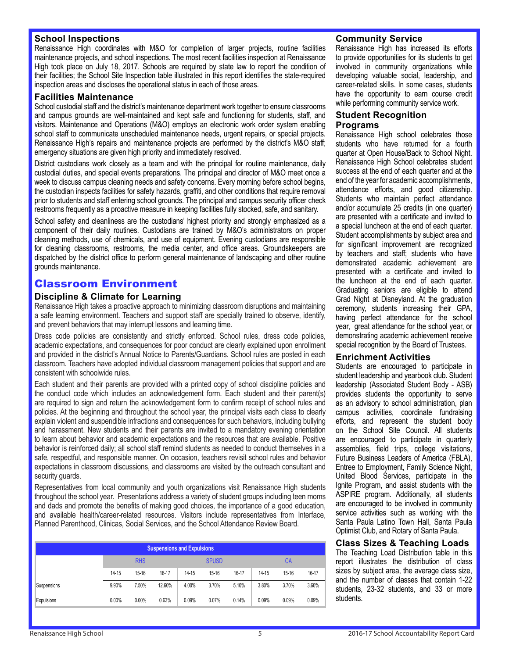#### **School Inspections**

Renaissance High coordinates with M&O for completion of larger projects, routine facilities maintenance projects, and school inspections. The most recent facilities inspection at Renaissance High took place on July 18, 2017. Schools are required by state law to report the condition of their facilities; the School Site Inspection table illustrated in this report identifies the state-required inspection areas and discloses the operational status in each of those areas.

#### **Facilities Maintenance**

School custodial staff and the district's maintenance department work together to ensure classrooms and campus grounds are well-maintained and kept safe and functioning for students, staff, and visitors. Maintenance and Operations (M&O) employs an electronic work order system enabling school staff to communicate unscheduled maintenance needs, urgent repairs, or special projects. Renaissance High's repairs and maintenance projects are performed by the district's M&O staff; emergency situations are given high priority and immediately resolved.

District custodians work closely as a team and with the principal for routine maintenance, daily custodial duties, and special events preparations. The principal and director of M&O meet once a week to discuss campus cleaning needs and safety concerns. Every morning before school begins, the custodian inspects facilities for safety hazards, graffiti, and other conditions that require removal prior to students and staff entering school grounds. The principal and campus security officer check restrooms frequently as a proactive measure in keeping facilities fully stocked, safe, and sanitary.

School safety and cleanliness are the custodians' highest priority and strongly emphasized as a component of their daily routines. Custodians are trained by M&O's administrators on proper cleaning methods, use of chemicals, and use of equipment. Evening custodians are responsible for cleaning classrooms, restrooms, the media center, and office areas. Groundskeepers are dispatched by the district office to perform general maintenance of landscaping and other routine grounds maintenance.

# Classroom Environment

#### **Discipline & Climate for Learning**

Renaissance High takes a proactive approach to minimizing classroom disruptions and maintaining a safe learning environment. Teachers and support staff are specially trained to observe, identify, and prevent behaviors that may interrupt lessons and learning time.

Dress code policies are consistently and strictly enforced. School rules, dress code policies, academic expectations, and consequences for poor conduct are clearly explained upon enrollment and provided in the district's Annual Notice to Parents/Guardians. School rules are posted in each classroom. Teachers have adopted individual classroom management policies that support and are consistent with schoolwide rules.

Each student and their parents are provided with a printed copy of school discipline policies and the conduct code which includes an acknowledgement form. Each student and their parent(s) are required to sign and return the acknowledgement form to confirm receipt of school rules and policies. At the beginning and throughout the school year, the principal visits each class to clearly explain violent and suspendible infractions and consequences for such behaviors, including bullying and harassment. New students and their parents are invited to a mandatory evening orientation to learn about behavior and academic expectations and the resources that are available. Positive behavior is reinforced daily; all school staff remind students as needed to conduct themselves in a safe, respectful, and responsible manner. On occasion, teachers revisit school rules and behavior expectations in classroom discussions, and classrooms are visited by the outreach consultant and security guards.

Representatives from local community and youth organizations visit Renaissance High students throughout the school year. Presentations address a variety of student groups including teen moms and dads and promote the benefits of making good choices, the importance of a good education, and available health/career-related resources. Visitors include representatives from Interface, Planned Parenthood, Clinicas, Social Services, and the School Attendance Review Board.

| <b>Suspensions and Expulsions</b> |       |            |        |           |              |       |           |           |           |
|-----------------------------------|-------|------------|--------|-----------|--------------|-------|-----------|-----------|-----------|
|                                   |       | <b>RHS</b> |        |           | <b>SPUSD</b> |       |           | СA        |           |
|                                   | 14-15 | $15 - 16$  | 16-17  | $14 - 15$ | 15-16        | 16-17 | $14 - 15$ | $15 - 16$ | $16 - 17$ |
| Suspensions                       | 9.90% | 7.50%      | 12.60% | 4.00%     | 3.70%        | 5.10% | 3.80%     | 3.70%     | 3.60%     |
| Expulsions                        | 0.00% | 0.00%      | 0.63%  | 0.09%     | 0.07%        | 0.14% | 0.09%     | 0.09%     | 0.09%     |

#### **Community Service**

Renaissance High has increased its efforts to provide opportunities for its students to get involved in community organizations while developing valuable social, leadership, and career-related skills. In some cases, students have the opportunity to earn course credit while performing community service work.

#### **Student Recognition Programs**

Renaissance High school celebrates those students who have returned for a fourth quarter at Open House/Back to School Night. Renaissance High School celebrates student success at the end of each quarter and at the end of the year for academic accomplishments, attendance efforts, and good citizenship. Students who maintain perfect attendance and/or accumulate 25 credits (in one quarter) are presented with a certificate and invited to a special luncheon at the end of each quarter. Student accomplishments by subject area and for significant improvement are recognized by teachers and staff; students who have demonstrated academic achievement are presented with a certificate and invited to the luncheon at the end of each quarter. Graduating seniors are eligible to attend Grad Night at Disneyland. At the graduation ceremony, students increasing their GPA, having perfect attendance for the school year, great attendance for the school year, or demonstrating academic achievement receive special recognition by the Board of Trustees.

#### **Enrichment Activities**

Students are encouraged to participate in student leadership and yearbook club. Student leadership (Associated Student Body - ASB) provides students the opportunity to serve as an advisory to school administration, plan campus activities, coordinate fundraising efforts, and represent the student body on the School Site Council. All students are encouraged to participate in quarterly assemblies, field trips, college visitations, Future Business Leaders of America (FBLA), Entree to Employment, Family Science Night, United Blood Services, participate in the Ignite Program, and assist students with the ASPIRE program. Additionally, all students are encouraged to be involved in community service activities such as working with the Santa Paula Latino Town Hall, Santa Paula Optimist Club, and Rotary of Santa Paula.

#### **Class Sizes & Teaching Loads**

The Teaching Load Distribution table in this report illustrates the distribution of class sizes by subject area, the average class size, and the number of classes that contain 1-22 students, 23-32 students, and 33 or more students.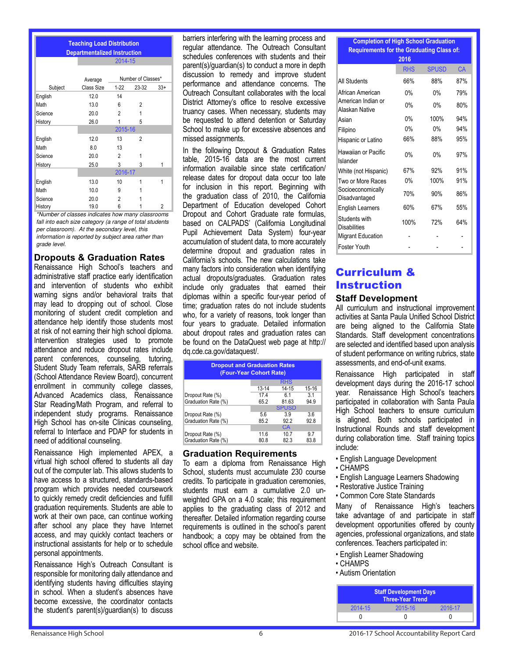| <b>Teaching Load Distribution</b><br><b>Departmentalized Instruction</b> |            |                               |                    |       |  |
|--------------------------------------------------------------------------|------------|-------------------------------|--------------------|-------|--|
|                                                                          |            | 2014-15                       |                    |       |  |
|                                                                          | Average    |                               | Number of Classes* |       |  |
| Subject                                                                  | Class Size | $1 - 22$                      | 23-32              | $33+$ |  |
| English                                                                  | 12.0       | 14                            |                    |       |  |
| Math                                                                     | 13.0       | 6                             | 2                  |       |  |
| Science                                                                  | 20.0       | 2                             | 1                  |       |  |
| History                                                                  | 26.0       |                               | 5                  |       |  |
|                                                                          |            | 2015-16                       |                    |       |  |
| English                                                                  | 12.0       | 13                            | $\overline{c}$     |       |  |
| Math                                                                     | 8.0        | 13                            |                    |       |  |
| Science                                                                  | 20.0       | 2                             | 1                  |       |  |
| History                                                                  | 25.0       | 3                             | 3                  | 1     |  |
|                                                                          |            | 2016-17                       |                    |       |  |
| English                                                                  | 13.0       | 10                            | 1                  | 1     |  |
| Math                                                                     | 10.0       | 9                             |                    |       |  |
| Science                                                                  | 20.0       | 2                             |                    |       |  |
| History<br>$\overline{\phantom{a}}$                                      | 19.0<br>   | 6<br>$\overline{\phantom{a}}$ |                    | 2     |  |

\*Number of classes indicates how many classrooms fall into each size category (a range of total students per classroom). At the secondary level, this information is reported by subject area rather than grade level.

#### **Dropouts & Graduation Rates**

Renaissance High School's teachers and administrative staff practice early identification and intervention of students who exhibit warning signs and/or behavioral traits that may lead to dropping out of school. Close monitoring of student credit completion and attendance help identify those students most at risk of not earning their high school diploma. Intervention strategies used to promote attendance and reduce dropout rates include parent conferences, counseling, tutoring, Student Study Team referrals, SARB referrals (School Attendance Review Board), concurrent enrollment in community college classes, Advanced Academics class, Renaissance Star Reading/Math Program, and referral to independent study programs. Renaissance High School has on-site Clinicas counseling, referral to Interface and PDAP for students in need of additional counseling.

Renaissance High implemented APEX, a virtual high school offered to students all day out of the computer lab. This allows students to have access to a structured, standards-based program which provides needed coursework to quickly remedy credit deficiencies and fulfill graduation requirements. Students are able to work at their own pace, can continue working after school any place they have Internet access, and may quickly contact teachers or instructional assistants for help or to schedule personal appointments.

Renaissance High's Outreach Consultant is responsible for monitoring daily attendance and identifying students having difficulties staying in school. When a student's absences have become excessive, the coordinator contacts the student's parent(s)/guardian(s) to discuss

barriers interfering with the learning process and regular attendance. The Outreach Consultant schedules conferences with students and their parent(s)/guardian(s) to conduct a more in depth discussion to remedy and improve student performance and attendance concerns. The Outreach Consultant collaborates with the local District Attorney's office to resolve excessive truancy cases. When necessary, students may be requested to attend detention or Saturday School to make up for excessive absences and missed assignments.

In the following Dropout & Graduation Rates table, 2015-16 data are the most current information available since state certification/ release dates for dropout data occur too late for inclusion in this report. Beginning with the graduation class of 2010, the California Department of Education developed Cohort Dropout and Cohort Graduate rate formulas, based on CALPADS' (California Longitudinal Pupil Achievement Data System) four-year accumulation of student data, to more accurately determine dropout and graduation rates in California's schools. The new calculations take many factors into consideration when identifying actual dropouts/graduates. Graduation rates include only graduates that earned their diplomas within a specific four-year period of time; graduation rates do not include students who, for a variety of reasons, took longer than four years to graduate. Detailed information about dropout rates and graduation rates can be found on the DataQuest web page at http:// dq.cde.ca.gov/dataquest/.

| <b>Dropout and Graduation Rates</b><br>(Four-Year Cohort Rate) |              |              |             |  |  |  |
|----------------------------------------------------------------|--------------|--------------|-------------|--|--|--|
|                                                                |              | <b>RHS</b>   |             |  |  |  |
|                                                                | 13-14        | $14 - 15$    | 15-16       |  |  |  |
| Dropout Rate (%)                                               | 17.4         | 61           | 31          |  |  |  |
| Graduation Rate (%)                                            | 65.2         | 81.63        | 94.9        |  |  |  |
|                                                                |              | <b>SPUSD</b> |             |  |  |  |
| Dropout Rate (%)                                               | 5.6          | 3.9          | 3.6         |  |  |  |
| Graduation Rate (%)                                            | 85.2         | 92.2         | 92.8        |  |  |  |
|                                                                |              | CA           |             |  |  |  |
| Dropout Rate (%)<br>Graduation Rate (%)                        | 11.6<br>80.8 | 10.7<br>82.3 | 9.7<br>83.8 |  |  |  |

#### **Graduation Requirements**

To earn a diploma from Renaissance High School, students must accumulate 230 course credits. To participate in graduation ceremonies, students must earn a cumulative 2.0 unweighted GPA on a 4.0 scale; this requirement applies to the graduating class of 2012 and thereafter. Detailed information regarding course requirements is outlined in the school's parent handbook; a copy may be obtained from the school office and website.

# **Completion of High School Graduation Requirements for the Graduating Class of:**

|                                      | 2016       |              |     |
|--------------------------------------|------------|--------------|-----|
|                                      | <b>RHS</b> | <b>SPUSD</b> | CA  |
| All Students                         | 66%        | 88%          | 87% |
| African American                     | 0%         | 0%           | 79% |
| American Indian or<br>Alaskan Native | 0%         | 0%           | 80% |
| Asian                                | $0\%$      | 100%         | 94% |
| Filipino                             | $0\%$      | 0%           | 94% |
| Hispanic or Latino                   | 66%        | 88%          | 95% |
| Hawaiian or Pacific<br>Islander      | 0%         | 0%           | 97% |
| White (not Hispanic)                 | 67%        | 92%          | 91% |
| Two or More Races                    | 0%         | 100%         | 91% |
| Socioeconomically<br>Disadvantaged   | 70%        | 90%          | 86% |
| <b>English Learners</b>              | 60%        | 67%          | 55% |
| Students with<br><b>Disabilities</b> | 100%       | 72%          | 64% |
| <b>Migrant Education</b>             |            |              |     |
| Foster Youth                         |            |              |     |

# Curriculum & Instruction

#### **Staff Development**

All curriculum and instructional improvement activities at Santa Paula Unified School District are being aligned to the California State Standards. Staff development concentrations are selected and identified based upon analysis of student performance on writing rubrics, state assessments, and end-of-unit exams.

Renaissance High participated in staff development days during the 2016-17 school year. Renaissance High School's teachers participated in collaboration with Santa Paula High School teachers to ensure curriculum is aligned. Both schools participated in Instructional Rounds and staff development during collaboration time. Staff training topics include:

- English Language Development
- CHAMPS
- English Language Learners Shadowing
- Restorative Justice Training
- Common Core State Standards

Many of Renaissance High's teachers take advantage of and participate in staff development opportunities offered by county agencies, professional organizations, and state conferences. Teachers participated in:

- English Learner Shadowing
- CHAMPS
- Autism Orientation

| <b>Staff Development Days</b><br><b>Three-Year Trend</b> |         |         |  |  |  |
|----------------------------------------------------------|---------|---------|--|--|--|
| 2014-15                                                  | 2015-16 | 2016-17 |  |  |  |
|                                                          |         |         |  |  |  |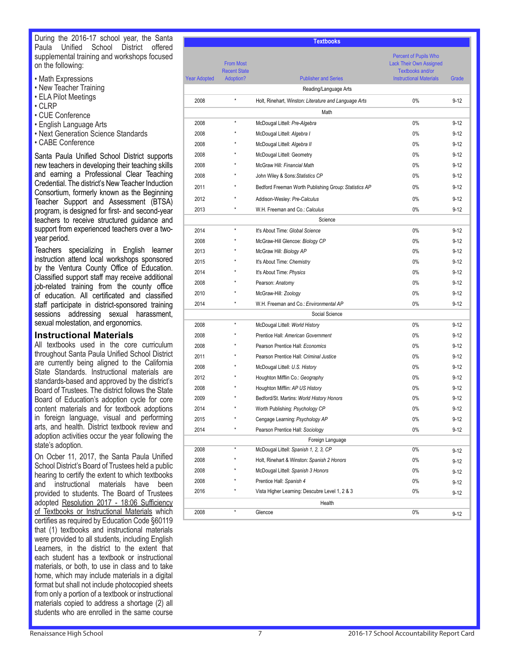During the 2016-17 school year, the Santa Paula Unified School District offered supplemental training and workshops focused on the following:

- Math Expressions
- New Teacher Training
- ELA Pilot Meetings
- CLRP
- CUE Conference
- English Language Arts
- Next Generation Science Standards
- CABE Conference

Santa Paula Unified School District supports new teachers in developing their teaching skills and earning a Professional Clear Teaching Credential. The district's New Teacher Induction Consortium, formerly known as the Beginning Teacher Support and Assessment (BTSA) program, is designed for first- and second-year teachers to receive structured guidance and support from experienced teachers over a twoyear period.

Teachers specializing in English learner instruction attend local workshops sponsored by the Ventura County Office of Education. Classified support staff may receive additional job-related training from the county office of education. All certificated and classified staff participate in district-sponsored training sessions addressing sexual harassment, sexual molestation, and ergonomics.

#### **Instructional Materials**

All textbooks used in the core curriculum throughout Santa Paula Unified School District are currently being aligned to the California State Standards. Instructional materials are standards-based and approved by the district's Board of Trustees. The district follows the State Board of Education's adoption cycle for core content materials and for textbook adoptions in foreign language, visual and performing arts, and health. District textbook review and adoption activities occur the year following the state's adoption.

On Ocber 11, 2017, the Santa Paula Unified School District's Board of Trustees held a public hearing to certify the extent to which textbooks and instructional materials have been provided to students. The Board of Trustees adopted Resolution 2017 - 18:06 Sufficiency of Textbooks or Instructional Materials which certifies as required by Education Code §60119 that (1) textbooks and instructional materials were provided to all students, including English Learners, in the district to the extent that each student has a textbook or instructional materials, or both, to use in class and to take home, which may include materials in a digital format but shall not include photocopied sheets from only a portion of a textbook or instructional materials copied to address a shortage (2) all students who are enrolled in the same course

|                     |                                                             | <b>Textbooks</b>                                      |                                                                                                                             |          |
|---------------------|-------------------------------------------------------------|-------------------------------------------------------|-----------------------------------------------------------------------------------------------------------------------------|----------|
| <b>Year Adopted</b> | <b>From Most</b><br><b>Recent State</b><br><b>Adoption?</b> | <b>Publisher and Series</b>                           | <b>Percent of Pupils Who</b><br><b>Lack Their Own Assigned</b><br><b>Textbooks and/or</b><br><b>Instructional Materials</b> | Grade    |
|                     |                                                             |                                                       |                                                                                                                             |          |
|                     | $\star$                                                     | Reading/Language Arts                                 |                                                                                                                             |          |
| 2008                |                                                             | Holt, Rinehart, Winston: Literature and Language Arts | $0\%$                                                                                                                       | $9 - 12$ |
|                     |                                                             | Math                                                  |                                                                                                                             |          |
| 2008                | $\star$                                                     | McDougal Littell: Pre-Algebra                         | 0%                                                                                                                          | $9 - 12$ |
| 2008                |                                                             | McDougal Littell: Algebra I                           | $0\%$                                                                                                                       | $9 - 12$ |
| 2008                |                                                             | McDougal Littell: Algebra II                          | $0\%$                                                                                                                       | $9 - 12$ |
| 2008                |                                                             | McDougal Littell: Geometry                            | $0\%$                                                                                                                       | $9 - 12$ |
| 2008                | ×                                                           | McGraw Hill: Financial Math                           | $0\%$                                                                                                                       | $9 - 12$ |
| 2008                | ×                                                           | John Wiley & Sons: Statistics CP                      | $0\%$                                                                                                                       | $9 - 12$ |
| 2011                | ×                                                           | Bedford Freeman Worth Publishing Group: Statistics AP | $0\%$                                                                                                                       | $9 - 12$ |
| 2012                |                                                             | Addison-Wesley: Pre-Calculus                          | $0\%$                                                                                                                       | $9 - 12$ |
| 2013                |                                                             | W.H. Freeman and Co.: Calculus                        | 0%                                                                                                                          | $9 - 12$ |
|                     |                                                             | Science                                               |                                                                                                                             |          |
| 2014                | $\star$                                                     | It's About Time: Global Science                       | 0%                                                                                                                          | $9 - 12$ |
| 2008                |                                                             | McGraw-Hill Glencoe: Biology CP                       | 0%                                                                                                                          | $9 - 12$ |
| 2013                | ×                                                           | McGraw Hill: Biology AP                               | 0%                                                                                                                          | $9 - 12$ |
| 2015                |                                                             | It's About Time: Chemistry                            | 0%                                                                                                                          | $9 - 12$ |
| 2014                |                                                             | It's About Time: Physics                              | $0\%$                                                                                                                       | $9 - 12$ |
| 2008                |                                                             | Pearson: Anatomy                                      | 0%                                                                                                                          | $9 - 12$ |
| 2010                |                                                             | McGraw-Hill: Zoology                                  | $0\%$                                                                                                                       | $9 - 12$ |
| 2014                | $\star$                                                     | W.H. Freeman and Co.: Environmental AP                | 0%                                                                                                                          | $9 - 12$ |
|                     |                                                             | Social Science                                        |                                                                                                                             |          |
| 2008                | $\star$                                                     | McDougal Littell: World History                       | 0%                                                                                                                          | $9 - 12$ |
| 2008                |                                                             | Prentice Hall: American Government                    | $0\%$                                                                                                                       | $9 - 12$ |
| 2008                | $\star$                                                     | Pearson Prentice Hall: Economics                      | $0\%$                                                                                                                       | $9 - 12$ |
| 2011                |                                                             | Pearson Prentice Hall: Criminal Justice               | 0%                                                                                                                          | $9 - 12$ |
| 2008                |                                                             | McDougal Littell: U.S. History                        | 0%                                                                                                                          | $9 - 12$ |
| 2012                |                                                             | Houghton Mifflin Co.: Geography                       | 0%                                                                                                                          | $9 - 12$ |
| 2008                |                                                             | Houghton Mifflin: AP US History                       | 0%                                                                                                                          | $9 - 12$ |
| 2009                |                                                             | Bedford/St. Martins: World History Honors             | 0%                                                                                                                          | $9 - 12$ |
| 2014                |                                                             | Worth Publishing: Psychology CP                       | $0\%$                                                                                                                       | $9 - 12$ |
| 2015                |                                                             | Cengage Learning: Psychology AP                       | $0\%$                                                                                                                       | $9 - 12$ |
| 2014                |                                                             | Pearson Prentice Hall: Sociology                      | $0\%$                                                                                                                       | $9 - 12$ |
|                     |                                                             | Foreign Language                                      |                                                                                                                             |          |
| 2008                | $\star$                                                     | McDougal Littell: Spanish 1, 2, 3, CP                 | $0\%$                                                                                                                       | $9 - 12$ |
| 2008                |                                                             | Holt, Rinehart & Winston: Spanish 2 Honors            | $0\%$                                                                                                                       | $9 - 12$ |
| 2008                |                                                             | McDougal Littell: Spanish 3 Honors                    | 0%                                                                                                                          | $9 - 12$ |
| 2008                |                                                             | Prentice Hall: Spanish 4                              | $0\%$                                                                                                                       | $9 - 12$ |
| 2016                | $\star$                                                     | Vista Higher Learning: Descubre Level 1, 2 & 3        | 0%                                                                                                                          | $9 - 12$ |
|                     |                                                             | Health                                                |                                                                                                                             |          |
| 2008                | $\star$                                                     | Glencoe                                               | $0\%$                                                                                                                       | $9 - 12$ |
|                     |                                                             |                                                       |                                                                                                                             |          |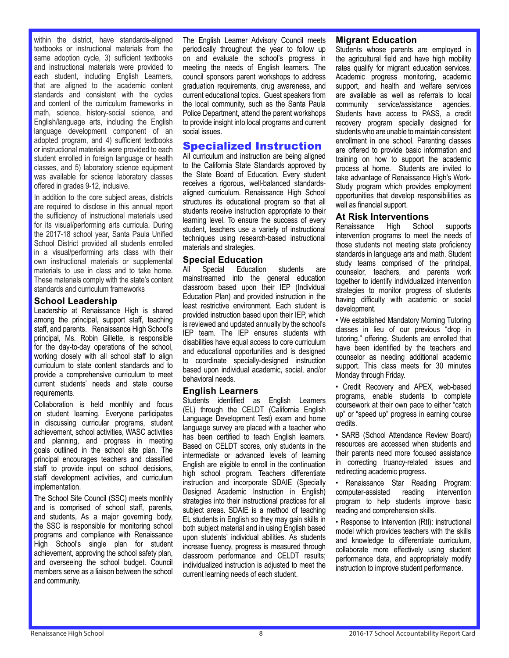within the district, have standards-aligned textbooks or instructional materials from the same adoption cycle, 3) sufficient textbooks and instructional materials were provided to each student, including English Learners, that are aligned to the academic content standards and consistent with the cycles and content of the curriculum frameworks in math, science, history-social science, and English/language arts, including the English language development component of an adopted program, and 4) sufficient textbooks or instructional materials were provided to each student enrolled in foreign language or health classes, and 5) laboratory science equipment was available for science laboratory classes offered in grades 9-12, inclusive.

In addition to the core subject areas, districts are required to disclose in this annual report the sufficiency of instructional materials used for its visual/performing arts curricula. During the 2017-18 school year, Santa Paula Unified School District provided all students enrolled in a visual/performing arts class with their own instructional materials or supplemental materials to use in class and to take home. These materials comply with the state's content standards and curriculum frameworks

#### **School Leadership**

Leadership at Renaissance High is shared among the principal, support staff, teaching staff, and parents. Renaissance High School's principal, Ms. Robin Gillette, is responsible for the day-to-day operations of the school, working closely with all school staff to align curriculum to state content standards and to provide a comprehensive curriculum to meet current students' needs and state course requirements.

Collaboration is held monthly and focus on student learning. Everyone participates in discussing curricular programs, student achievement, school activities, WASC activities and planning, and progress in meeting goals outlined in the school site plan. The principal encourages teachers and classified staff to provide input on school decisions, staff development activities, and curriculum implementation.

The School Site Council (SSC) meets monthly and is comprised of school staff, parents, and students, As a major governing body, the SSC is responsible for monitoring school programs and compliance with Renaissance High School's single plan for student achievement, approving the school safety plan, and overseeing the school budget. Council members serve as a liaison between the school and community.

The English Learner Advisory Council meets periodically throughout the year to follow up on and evaluate the school's progress in meeting the needs of English learners. The council sponsors parent workshops to address graduation requirements, drug awareness, and current educational topics. Guest speakers from the local community, such as the Santa Paula Police Department, attend the parent workshops to provide insight into local programs and current social issues.

# Specialized Instruction

All curriculum and instruction are being aligned to the California State Standards approved by the State Board of Education. Every student receives a rigorous, well-balanced standardsaligned curriculum. Renaissance High School structures its educational program so that all students receive instruction appropriate to their learning level. To ensure the success of every student, teachers use a variety of instructional techniques using research-based instructional materials and strategies.

# **Special Education**<br>All Special Education

All Special Education students are mainstreamed into the general education classroom based upon their IEP (Individual Education Plan) and provided instruction in the least restrictive environment. Each student is provided instruction based upon their IEP, which is reviewed and updated annually by the school's IEP team. The IEP ensures students with disabilities have equal access to core curriculum and educational opportunities and is designed to coordinate specially-designed instruction based upon individual academic, social, and/or behavioral needs.

#### **English Learners**

Students identified as English Learners (EL) through the CELDT (California English Language Development Test) exam and home language survey are placed with a teacher who has been certified to teach English learners. Based on CELDT scores, only students in the intermediate or advanced levels of learning English are eligible to enroll in the continuation high school program. Teachers differentiate instruction and incorporate SDAIE (Specially Designed Academic Instruction in English) strategies into their instructional practices for all subject areas. SDAIE is a method of teaching EL students in English so they may gain skills in both subject material and in using English based upon students' individual abilities. As students increase fluency, progress is measured through classroom performance and CELDT results; individualized instruction is adjusted to meet the current learning needs of each student.

#### **Migrant Education**

Students whose parents are employed in the agricultural field and have high mobility rates qualify for migrant education services. Academic progress monitoring, academic support, and health and welfare services are available as well as referrals to local community service/assistance agencies. Students have access to PASS, a credit recovery program specially designed for students who are unable to maintain consistent enrollment in one school. Parenting classes are offered to provide basic information and training on how to support the academic process at home. Students are invited to take advantage of Renaissance High's Work-Study program which provides employment opportunities that develop responsibilities as well as financial support.

# **At Risk Interventions**

Renaissance High School supports intervention programs to meet the needs of those students not meeting state proficiency standards in language arts and math. Student study teams comprised of the principal, counselor, teachers, and parents work together to identify individualized intervention strategies to monitor progress of students having difficulty with academic or social development.

• We established Mandatory Morning Tutoring classes in lieu of our previous "drop in tutoring." offering. Students are enrolled that have been identified by the teachers and counselor as needing additional academic support. This class meets for 30 minutes Monday through Friday.

• Credit Recovery and APEX, web-based programs, enable students to complete coursework at their own pace to either "catch up" or "speed up" progress in earning course credits.

• SARB (School Attendance Review Board) resources are accessed when students and their parents need more focused assistance in correcting truancy-related issues and redirecting academic progress.

• Renaissance Star Reading Program: computer-assisted reading intervention program to help students improve basic reading and comprehension skills.

• Response to Intervention (RtI): instructional model which provides teachers with the skills and knowledge to differentiate curriculum, collaborate more effectively using student performance data, and appropriately modify instruction to improve student performance.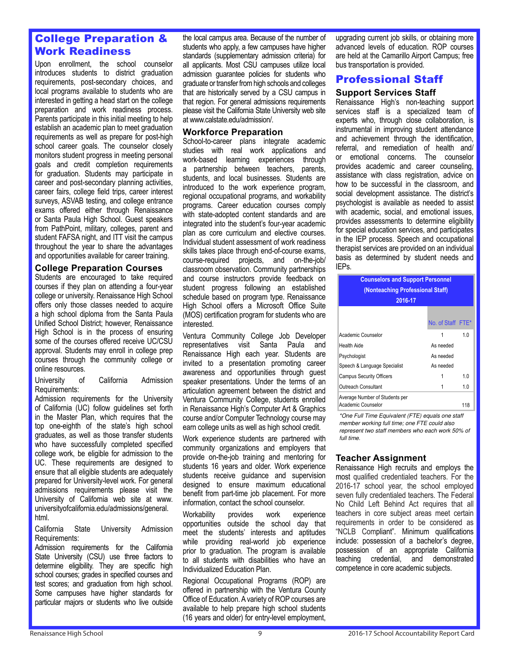# College Preparation & Work Readiness

Upon enrollment, the school counselor introduces students to district graduation requirements, post-secondary choices, and local programs available to students who are interested in getting a head start on the college preparation and work readiness process. Parents participate in this initial meeting to help establish an academic plan to meet graduation requirements as well as prepare for post-high school career goals. The counselor closely monitors student progress in meeting personal goals and credit completion requirements for graduation. Students may participate in career and post-secondary planning activities, career fairs, college field trips, career interest surveys, ASVAB testing, and college entrance exams offered either through Renaissance or Santa Paula High School. Guest speakers from PathPoint, military, colleges, parent and student FAFSA night, and ITT visit the campus throughout the year to share the advantages and opportunities available for career training.

#### **College Preparation Courses**

Students are encouraged to take required courses if they plan on attending a four-year college or university. Renaissance High School offers only those classes needed to acquire a high school diploma from the Santa Paula Unified School District; however, Renaissance High School is in the process of ensuring some of the courses offered receive UC/CSU approval. Students may enroll in college prep courses through the community college or online resources.

University of California Admission Requirements:

Admission requirements for the University of California (UC) follow guidelines set forth in the Master Plan, which requires that the top one-eighth of the state's high school graduates, as well as those transfer students who have successfully completed specified college work, be eligible for admission to the UC. These requirements are designed to ensure that all eligible students are adequately prepared for University-level work. For general admissions requirements please visit the University of California web site at www. universityofcalifornia.edu/admissions/general. html.

California State University Admission Requirements:

Admission requirements for the California State University (CSU) use three factors to determine eligibility. They are specific high school courses; grades in specified courses and test scores; and graduation from high school. Some campuses have higher standards for particular majors or students who live outside

the local campus area. Because of the number of students who apply, a few campuses have higher standards (supplementary admission criteria) for all applicants. Most CSU campuses utilize local admission guarantee policies for students who graduate or transfer from high schools and colleges that are historically served by a CSU campus in that region. For general admissions requirements please visit the California State University web site at www.calstate.edu/admission/.

#### **Workforce Preparation**

School-to-career plans integrate academic studies with real work applications and work-based learning experiences through a partnership between teachers, parents, students, and local businesses. Students are introduced to the work experience program, regional occupational programs, and workability programs. Career education courses comply with state-adopted content standards and are integrated into the student's four-year academic plan as core curriculum and elective courses. Individual student assessment of work readiness skills takes place through end-of-course exams, course-required projects, and on-the-job/ classroom observation. Community partnerships and course instructors provide feedback on student progress following an established schedule based on program type. Renaissance High School offers a Microsoft Office Suite (MOS) certification program for students who are interested.

Ventura Community College Job Developer representatives visit Santa Paula and Renaissance High each year. Students are invited to a presentation promoting career awareness and opportunities through guest speaker presentations. Under the terms of an articulation agreement between the district and Ventura Community College, students enrolled in Renaissance High's Computer Art & Graphics course and/or Computer Technology course may earn college units as well as high school credit.

Work experience students are partnered with community organizations and employers that provide on-the-job training and mentoring for students 16 years and older. Work experience students receive guidance and supervision designed to ensure maximum educational benefit from part-time job placement. For more information, contact the school counselor.

Workability provides work experience opportunities outside the school day that meet the students' interests and aptitudes while providing real-world job experience prior to graduation. The program is available to all students with disabilities who have an Individualized Education Plan.

Regional Occupational Programs (ROP) are offered in partnership with the Ventura County Office of Education. A variety of ROP courses are available to help prepare high school students (16 years and older) for entry-level employment,

upgrading current job skills, or obtaining more advanced levels of education. ROP courses are held at the Camarillo Airport Campus; free bus transportation is provided.

# Professional Staff

#### **Support Services Staff**

Renaissance High's non-teaching support services staff is a specialized team of experts who, through close collaboration, is instrumental in improving student attendance and achievement through the identification, referral, and remediation of health and/ or emotional concerns. The counselor provides academic and career counseling, assistance with class registration, advice on how to be successful in the classroom, and social development assistance. The district's psychologist is available as needed to assist with academic, social, and emotional issues, provides assessments to determine eligibility for special education services, and participates in the IEP process. Speech and occupational therapist services are provided on an individual basis as determined by student needs and IEPs.

| <b>Counselors and Support Personnel</b><br>(Nonteaching Professional Staff)<br>2016-17 |                   |     |  |  |
|----------------------------------------------------------------------------------------|-------------------|-----|--|--|
|                                                                                        | No. of Staff FTE* |     |  |  |
| Academic Counselor                                                                     | 1                 | 1.0 |  |  |
| Health Aide                                                                            | As needed         |     |  |  |
| Psychologist                                                                           | As needed         |     |  |  |
| Speech & Language Specialist                                                           | As needed         |     |  |  |
| <b>Campus Security Officers</b>                                                        |                   | 1.0 |  |  |
| Outreach Consultant                                                                    |                   | 1.0 |  |  |
| Average Number of Students per<br>Academic Counselor                                   |                   | 118 |  |  |

\*One Full Time Equivalent (FTE) equals one staff member working full time; one FTE could also represent two staff members who each work 50% of full time.

## **Teacher Assignment**

Renaissance High recruits and employs the most qualified credentialed teachers. For the 2016-17 school year, the school employed seven fully credentialed teachers. The Federal No Child Left Behind Act requires that all teachers in core subject areas meet certain requirements in order to be considered as "NCLB Compliant". Minimum qualifications include: possession of a bachelor's degree, possession of an appropriate California teaching credential, and demonstrated competence in core academic subjects.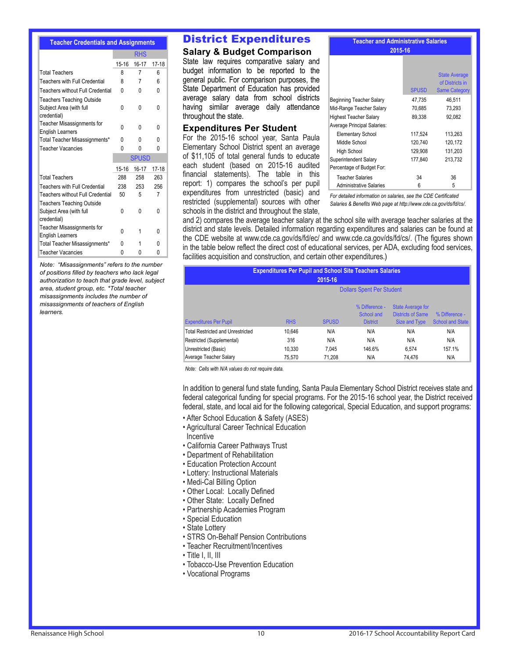#### **Teacher Credentials and Assignments**

|                                  | <b>RHS</b> |              |         |
|----------------------------------|------------|--------------|---------|
|                                  | $15 - 16$  | 16-17        | $17-18$ |
| <b>Total Teachers</b>            | 8          | 7            | 6       |
| Teachers with Full Credential    | 8          | 7            | 6       |
| Teachers without Full Credential | N          | U            | 0       |
| Teachers Teaching Outside        |            |              |         |
| Subject Area (with full          | 0          | 0            | 0       |
| credential)                      |            |              |         |
| Teacher Misassignments for       | N          | 0            | 0       |
| <b>English Learners</b>          |            |              |         |
| Total Teacher Misassignments*    | 0          | O            | 0       |
| Teacher Vacancies                | 0          | N            | N       |
|                                  |            |              |         |
|                                  |            | <b>SPUSD</b> |         |
|                                  | $15-16$    | 16-17        | $17-18$ |
| <b>Total Teachers</b>            | 288        | 258          | 263     |
| Teachers with Full Credential    | 238        | 253          | 256     |
| Teachers without Full Credential | 50         | 5            | 7       |
| <b>Teachers Teaching Outside</b> |            |              |         |
| Subject Area (with full          | 0          | N            | 0       |
| credential)                      |            |              |         |
| Teacher Misassignments for       |            |              |         |
| <b>English Learners</b>          | 0          | 1            | 0       |
| Total Teacher Misassignments*    | 0          |              | 0       |

Note: "Misassignments" refers to the number of positions filled by teachers who lack legal authorization to teach that grade level, subject area, student group, etc. \*Total teacher misassignments includes the number of misassignments of teachers of English learners.

#### District Expenditures

#### **Salary & Budget Comparison**

State law requires comparative salary and budget information to be reported to the general public. For comparison purposes, the State Department of Education has provided average salary data from school districts having similar average daily attendance throughout the state.

#### **Expenditures Per Student**

For the 2015-16 school year, Santa Paula Elementary School District spent an average of \$11,105 of total general funds to educate each student (based on 2015-16 audited financial statements). The table in this report: 1) compares the school's per pupil expenditures from unrestricted (basic) and restricted (supplemental) sources with other schools in the district and throughout the state,

**Teacher and Administrative Salaries** 2015-16

|                               | <b>SPUSD</b> | <b>State Average</b><br>of Districts in<br><b>Same Category</b> |
|-------------------------------|--------------|-----------------------------------------------------------------|
| Beginning Teacher Salary      | 47.735       | 46.511                                                          |
| Mid-Range Teacher Salary      | 70,685       | 73.293                                                          |
| <b>Highest Teacher Salary</b> | 89.338       | 92.082                                                          |
| Average Principal Salaries:   |              |                                                                 |
| <b>Elementary School</b>      | 117.524      | 113.263                                                         |
| Middle School                 | 120.740      | 120,172                                                         |
| <b>High School</b>            | 129,908      | 131,203                                                         |
| Superintendent Salary         | 177.840      | 213.732                                                         |
| Percentage of Budget For:     |              |                                                                 |
| <b>Teacher Salaries</b>       | 34           | 36                                                              |
| Administrative Salaries       | 6            | 5                                                               |

For detailed information on salaries, see the CDF Certificated Salaries & Benefits Web page at http://www.cde.ca.gov/ds/fd/cs/.

and 2) compares the average teacher salary at the school site with average teacher salaries at the district and state levels. Detailed information regarding expenditures and salaries can be found at the CDE website at www.cde.ca.gov/ds/fd/ec/ and www.cde.ca.gov/ds/fd/cs/. (The figures shown in the table below reflect the direct cost of educational services, per ADA, excluding food services, facilities acquisition and construction, and certain other expenditures.)

| <b>Expenditures Per Pupil and School Site Teachers Salaries</b><br>2015-16 |                                  |              |                                                 |                                                                       |                                           |
|----------------------------------------------------------------------------|----------------------------------|--------------|-------------------------------------------------|-----------------------------------------------------------------------|-------------------------------------------|
|                                                                            | <b>Dollars Spent Per Student</b> |              |                                                 |                                                                       |                                           |
| <b>Expenditures Per Pupil</b>                                              | <b>RHS</b>                       | <b>SPUSD</b> | % Difference -<br>School and<br><b>District</b> | <b>State Average for</b><br><b>Districts of Same</b><br>Size and Type | % Difference -<br><b>School and State</b> |
| <b>Total Restricted and Unrestricted</b>                                   | 10.646                           | N/A          | N/A                                             | N/A                                                                   | N/A                                       |
| Restricted (Supplemental)                                                  | 316                              | N/A          | N/A                                             | N/A                                                                   | N/A                                       |
| Unrestricted (Basic)                                                       | 10.330                           | 7.045        | 146.6%                                          | 6.574                                                                 | 157.1%                                    |
| Average Teacher Salary                                                     | 75.570                           | 71.208       | N/A                                             | 74.476                                                                | N/A                                       |

Note: Cells with N/A values do not require data.

In addition to general fund state funding, Santa Paula Elementary School District receives state and federal categorical funding for special programs. For the 2015-16 school year, the District received federal, state, and local aid for the following categorical, Special Education, and support programs:

- After School Education & Safety (ASES)
- Agricultural Career Technical Education Incentive
- 
- California Career Pathways Trust
- Department of Rehabilitation
- Education Protection Account
- Lottery: Instructional Materials
- Medi-Cal Billing Option
- Other Local: Locally Defined
- Other State: Locally Defined
- Partnership Academies Program
- Special Education
- State Lottery
- STRS On-Behalf Pension Contributions
- Teacher Recruitment/Incentives
- Title I, II, III
- Tobacco-Use Prevention Education
- Vocational Programs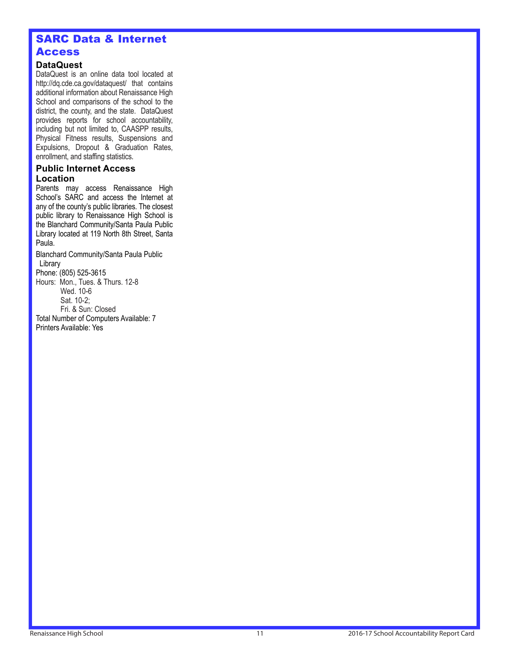# SARC Data & Internet **Access**

## **DataQuest**

DataQuest is an online data tool located at http://dq.cde.ca.gov/dataquest/ that contains additional information about Renaissance High School and comparisons of the school to the district, the county, and the state. DataQuest provides reports for school accountability, including but not limited to, CAASPP results, Physical Fitness results, Suspensions and Expulsions, Dropout & Graduation Rates, enrollment, and staffing statistics.

#### **Public Internet Access Location**

Parents may access Renaissance High School's SARC and access the Internet at any of the county's public libraries. The closest public library to Renaissance High School is the Blanchard Community/Santa Paula Public Library located at 119 North 8th Street, Santa Paula.

Blanchard Community/Santa Paula Public Library Phone: (805) 525-3615 Hours: Mon., Tues. & Thurs. 12-8 Wed. 10-6 Sat. 10-2; Fri. & Sun: Closed Total Number of Computers Available: 7

Printers Available: Yes